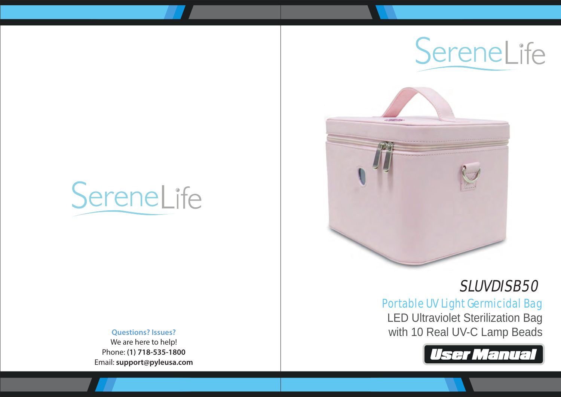# SereneLife

#### **Questions? Issues?**

We are here to help! Phone: **(1) 718-535-1800** Email: **support@pyleusa.com**





# SLUVDISB50

## Portable UV Light Germicidal Bag

LED Ultraviolet Sterilization Bag with 10 Real UV-C Lamp Beads

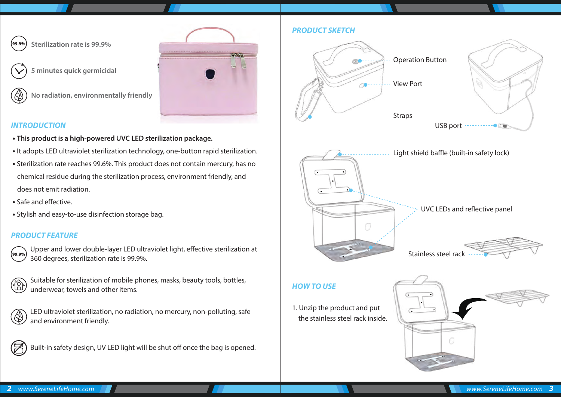

**Sterilization rate is 99.9%**



**5 minutes quick germicidal**



**No radiation, environmentally friendly**



#### *INTRODUCTION*

- **This product is a high-powered UVC LED sterilization package.**
- It adopts LED ultraviolet sterilization technology, one-button rapid sterilization.
- Sterilization rate reaches 99.6%. This product does not contain mercury, has no chemical residue during the sterilization process, environment friendly, and does not emit radiation.
- Safe and effective.
- Stylish and easy-to-use disinfection storage bag.

#### *PRODUCT FEATURE*



Upper and lower double-layer LED ultraviolet light, effective sterilization at 360 degrees, sterilization rate is 99.9%.



Suitable for sterilization of mobile phones, masks, beauty tools, bottles, underwear, towels and other items.

LED ultraviolet sterilization, no radiation, no mercury, non-polluting, safe and environment friendly.



Built-in safety design, UV LED light will be shut off once the bag is opened.

#### *PRODUCT SKETCH*



the stainless steel rack inside.

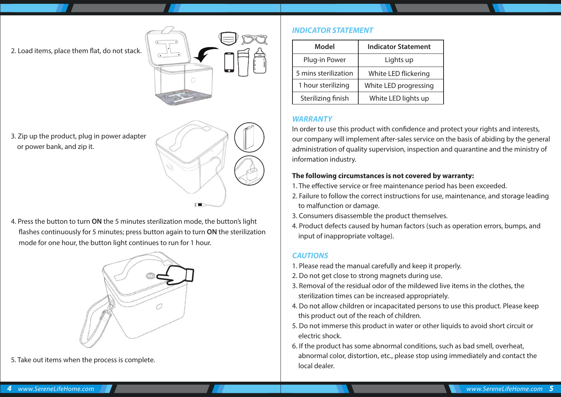2. Load items, place them flat, do not stack.



3. Zip up the product, plug in power adapter or power bank, and zip it.



4. Press the button to turn **ON** the 5 minutes sterilization mode, the button's light ashes continuously for 5 minutes; press button again to turn **ON** the sterilization mode for one hour, the button light continues to run for 1 hour.



5. Take out items when the process is complete.

#### *INDICATOR STATEMENT*

| Model                | <b>Indicator Statement</b> |
|----------------------|----------------------------|
| Plug-in Power        | Lights up                  |
| 5 mins sterilization | White LED flickering       |
| 1 hour sterilizing   | White LED progressing      |
| Sterilizing finish   | White LED lights up        |

#### *WARRANTY*

In order to use this product with confidence and protect your rights and interests, our company will implement after-sales service on the basis of abiding by the general administration of quality supervision, inspection and quarantine and the ministry of information industry.

#### **The following circumstances is not covered by warranty:**

- 1. The effective service or free maintenance period has been exceeded.
- 2. Failure to follow the correct instructions for use, maintenance, and storage leading to malfunction or damage.
- 3. Consumers disassemble the product themselves.
- 4. Product defects caused by human factors (such as operation errors, bumps, and input of inappropriate voltage).

#### *CAUTIONS*

- 1. Please read the manual carefully and keep it properly.
- 2. Do not get close to strong magnets during use.
- 3. Removal of the residual odor of the mildewed live items in the clothes, the sterilization times can be increased appropriately.
- 4. Do not allow children or incapacitated persons to use this product. Please keep this product out of the reach of children.
- 5. Do not immerse this product in water or other liquids to avoid short circuit or electric shock.
- 6. If the product has some abnormal conditions, such as bad smell, overheat, abnormal color, distortion, etc., please stop using immediately and contact the local dealer.